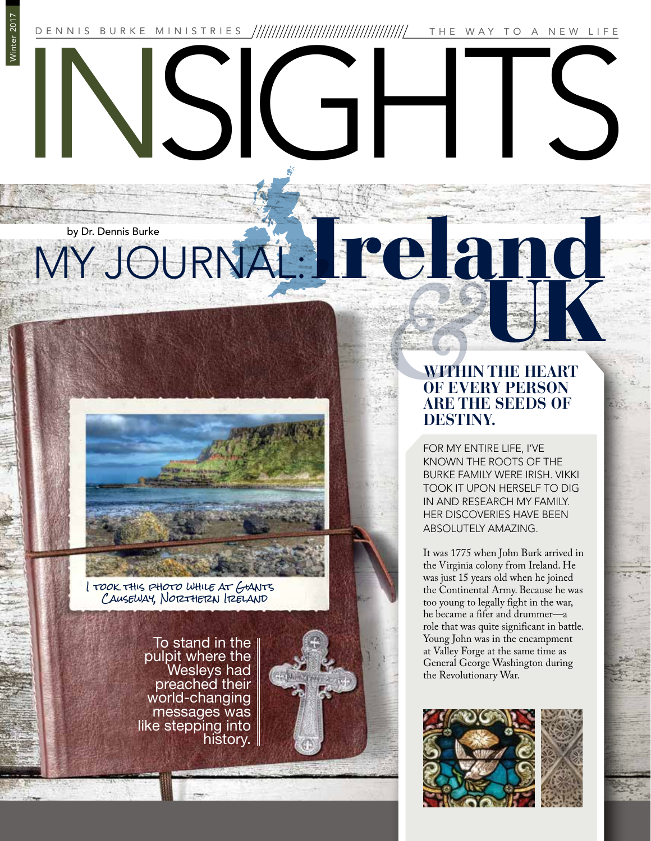Winter 2017 INSIGHTS DENNIS BURKE MINISTRIES THE WAY TO A NEW LIFE

## MY JOURNAL: Irel by Dr. Dennis Burke

I took this photo while at Giants CAUSEWAY, NOTZTHETZN ITZELAND

> To stand in the pulpit where the Wesleys had preached their world-changing messages was like stepping into history.

## **WITHIN THE HEART OF EVERY PERSON ARE THE SEEDS OF DESTINY.**

UK

FOR MY ENTIRE LIFE, I'VE KNOWN THE ROOTS OF THE BURKE FAMILY WERE IRISH. VIKKI TOOK IT UPON HERSELF TO DIG IN AND RESEARCH MY FAMILY. HER DISCOVERIES HAVE BEEN ABSOLUTELY AMAZING.

It was 1775 when John Burk arrived in the Virginia colony from Ireland. He was just 15 years old when he joined the Continental Army. Because he was too young to legally fight in the war, he became a fifer and drummer—a role that was quite significant in battle. Young John was in the encampment at Valley Forge at the same time as General George Washington during the Revolutionary War.

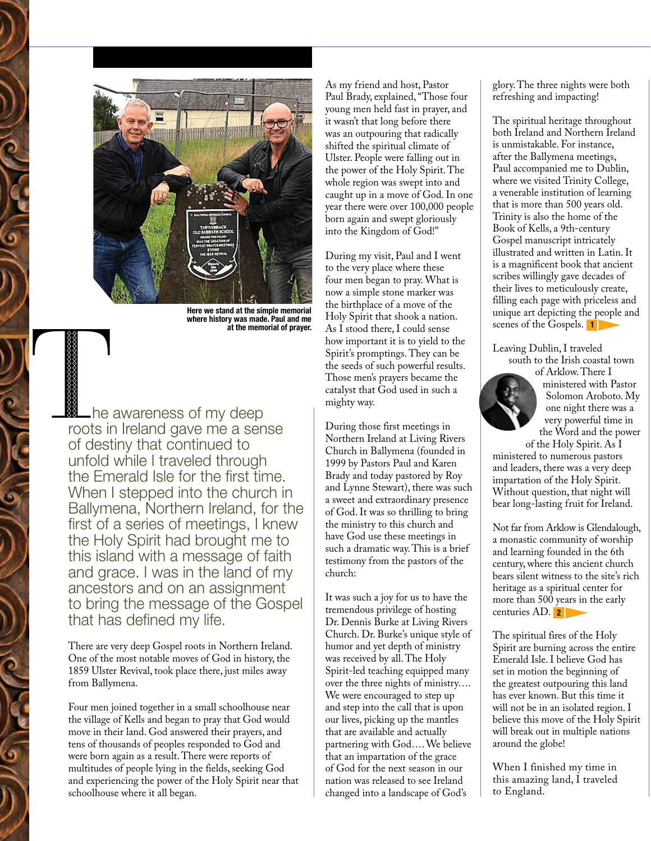

Here we stand at the simple memorial where history was made. Paul and me<br>at the memorial of prayer.

The awareness of my deep<br>The awareness of my deep<br>The awareness of my deep<br>The awareness of my deep<br>The awareness of my deep roots in Ireland gave me a sense of destiny that continued to unfold while I traveled through the Emerald Isle for the first time. When I stepped into the church in Ballymena, Northern Ireland, for the first of a series of meetings, I knew the Holy Spirit had brought me to this island with a message of faith and grace. I was in the land of my ancestors and on an assignment to bring the message of the Gospel that has defined my life.

> There are very deep Gospel roots in Northern Ireland. One of the most notable moves of God in history, the 1859 Ulster Revival, took place there, just miles away from Ballymena.

Four men joined together in a small schoolhouse near the village of Kells and began to pray that God would move in their land. God answered their prayers, and tens of thousands of peoples responded to God and were born again as a result. There were reports of multitudes of people lying in the fields, seeking God and experiencing the power of the Holy Spirit near that schoolhouse where it all began.

As my friend and host, Pastor Paul Brady, explained, "Those four young men held fast in prayer, and it wasn't that long before there was an outpouring that radically shifted the spiritual climate of Ulster. People were falling out in the power of the Holy Spirit. The whole region was swept into and caught up in a move of God. In one year there were over 100,000 people born again and swept gloriously into the Kingdom of God!"

During my visit, Paul and I went to the very place where these four men began to pray. What is now a simple stone marker was the birthplace of a move of the Holy Spirit that shook a nation. at the memorial of prayer. As I stood there, I could sense scenes of the Gospels. 1 how important it is to yield to the Spirit's promptings. They can be the seeds of such powerful results. Those men's prayers became the catalyst that God used in such a mighty way.

> During those first meetings in Northern Ireland at Living Rivers Church in Ballymena (founded in 1999 by Pastors Paul and Karen Brady and today pastored by Roy and Lynne Stewart), there was such a sweet and extraordinary presence of God. It was so thrilling to bring the ministry to this church and have God use these meetings in such a dramatic way. This is a brief testimony from the pastors of the church:

> It was such a joy for us to have the tremendous privilege of hosting Dr. Dennis Burke at Living Rivers Church. Dr. Burke's unique style of humor and yet depth of ministry was received by all. The Holy Spirit-led teaching equipped many over the three nights of ministry…. We were encouraged to step up and step into the call that is upon our lives, picking up the mantles that are available and actually partnering with God…. We believe that an impartation of the grace of God for the next season in our nation was released to see Ireland changed into a landscape of God's

glory. The three nights were both refreshing and impacting!

The spiritual heritage throughout both Ireland and Northern Ireland is unmistakable. For instance, after the Ballymena meetings, Paul accompanied me to Dublin, where we visited Trinity College, a venerable institution of learning that is more than 500 years old. Trinity is also the home of the Book of Kells, a 9th-century Gospel manuscript intricately illustrated and written in Latin. It is a magnificent book that ancient scribes willingly gave decades of their lives to meticulously create, filling each page with priceless and unique art depicting the people and scenes of the Gospels. 1

Leaving Dublin, I traveled south to the Irish coastal town of Arklow. There I



ministered with Pastor Solomon Aroboto. My one night there was a very powerful time in the Word and the power

of the Holy Spirit. As I ministered to numerous pastors and leaders, there was a very deep impartation of the Holy Spirit. Without question, that night will bear long-lasting fruit for Ireland.

Not far from Arklow is Glendalough, a monastic community of worship and learning founded in the 6th century, where this ancient church bears silent witness to the site's rich heritage as a spiritual center for more than 500 years in the early centuries AD. <mark>2</mark>

The spiritual fires of the Holy Spirit are burning across the entire Emerald Isle. I believe God has set in motion the beginning of the greatest outpouring this land has ever known. But this time it will not be in an isolated region. I believe this move of the Holy Spirit will break out in multiple nations around the globe!

When I finished my time in this amazing land, I traveled to England.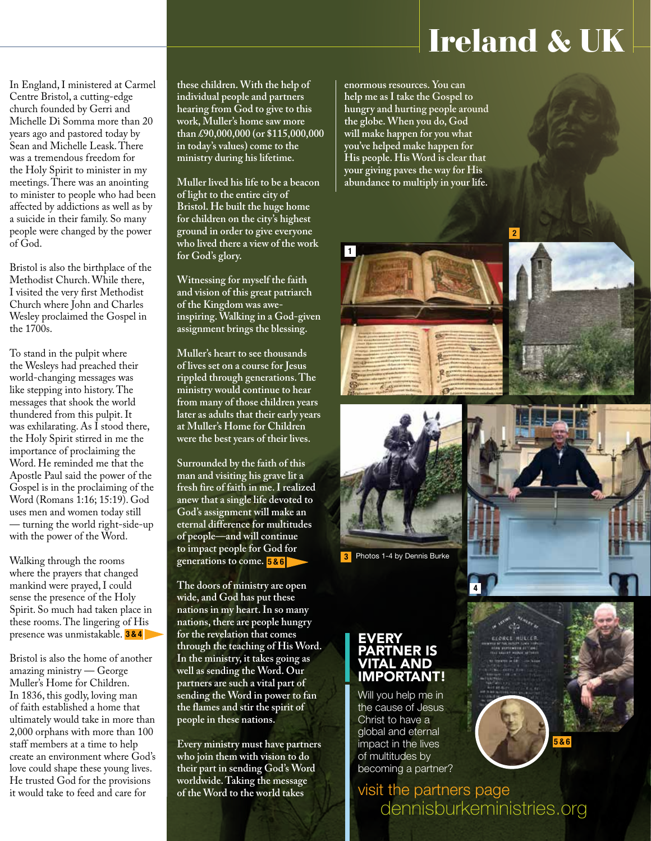## Ireland & UK

2

In England, I ministered at Carmel Centre Bristol, a cutting-edge church founded by Gerri and Michelle Di Somma more than 20 years ago and pastored today by Sean and Michelle Leask. There was a tremendous freedom for the Holy Spirit to minister in my meetings. There was an anointing to minister to people who had been affected by addictions as well as by a suicide in their family. So many people were changed by the power of God.

Bristol is also the birthplace of the Methodist Church. While there, I visited the very first Methodist Church where John and Charles Wesley proclaimed the Gospel in the 1700s.

To stand in the pulpit where the Wesleys had preached their world-changing messages was like stepping into history. The messages that shook the world thundered from this pulpit. It was exhilarating. As I stood there, the Holy Spirit stirred in me the importance of proclaiming the Word. He reminded me that the Apostle Paul said the power of the Gospel is in the proclaiming of the Word (Romans 1:16; 15:19). God uses men and women today still — turning the world right-side-up with the power of the Word.

Walking through the rooms where the prayers that changed mankind were prayed, I could sense the presence of the Holy Spirit. So much had taken place in these rooms. The lingering of His presence was unmistakable. <mark>3&4</mark>

Bristol is also the home of another amazing ministry — George Muller's Home for Children. In 1836, this godly, loving man of faith established a home that ultimately would take in more than 2,000 orphans with more than 100 staff members at a time to help create an environment where God's love could shape these young lives. He trusted God for the provisions it would take to feed and care for

**these children. With the help of individual people and partners hearing from God to give to this work, Muller's home saw more than £90,000,000 (or \$115,000,000 in today's values) come to the ministry during his lifetime.** 

**Muller lived his life to be a beacon of light to the entire city of Bristol. He built the huge home for children on the city's highest ground in order to give everyone who lived there a view of the work for God's glory.**

**Witnessing for myself the faith and vision of this great patriarch of the Kingdom was aweinspiring. Walking in a God-given assignment brings the blessing.** 

**Muller's heart to see thousands of lives set on a course for Jesus rippled through generations. The ministry would continue to hear from many of those children years later as adults that their early years at Muller's Home for Children were the best years of their lives.** 

**Surrounded by the faith of this man and visiting his grave lit a fresh fire of faith in me. I realized anew that a single life devoted to God's assignment will make an eternal difference for multitudes of people—and will continue to impact people for God for generations to come.**  5 & 6

**The doors of ministry are open wide, and God has put these nations in my heart. In so many nations, there are people hungry for the revelation that comes through the teaching of His Word. In the ministry, it takes going as well as sending the Word. Our partners are such a vital part of sending the Word in power to fan the flames and stir the spirit of people in these nations.** 

**Every ministry must have partners who join them with vision to do their part in sending God's Word worldwide. Taking the message of the Word to the world takes** 

**enormous resources. You can help me as I take the Gospel to hungry and hurting people around the globe. When you do, God will make happen for you what you've helped make happen for His people. His Word is clear that your giving paves the way for His abundance to multiply in your life.** 

1



3 Photos 1-4 by Dennis Burke

## EVERY !TNER IS TAL AND IMPORTANT!

Will you help me in the cause of Jesus Christ to have a global and eternal impact in the lives of multitudes by becoming a partner?

dennisburkeministries.org visit the partners page

5 & 6

 $\overline{4}$